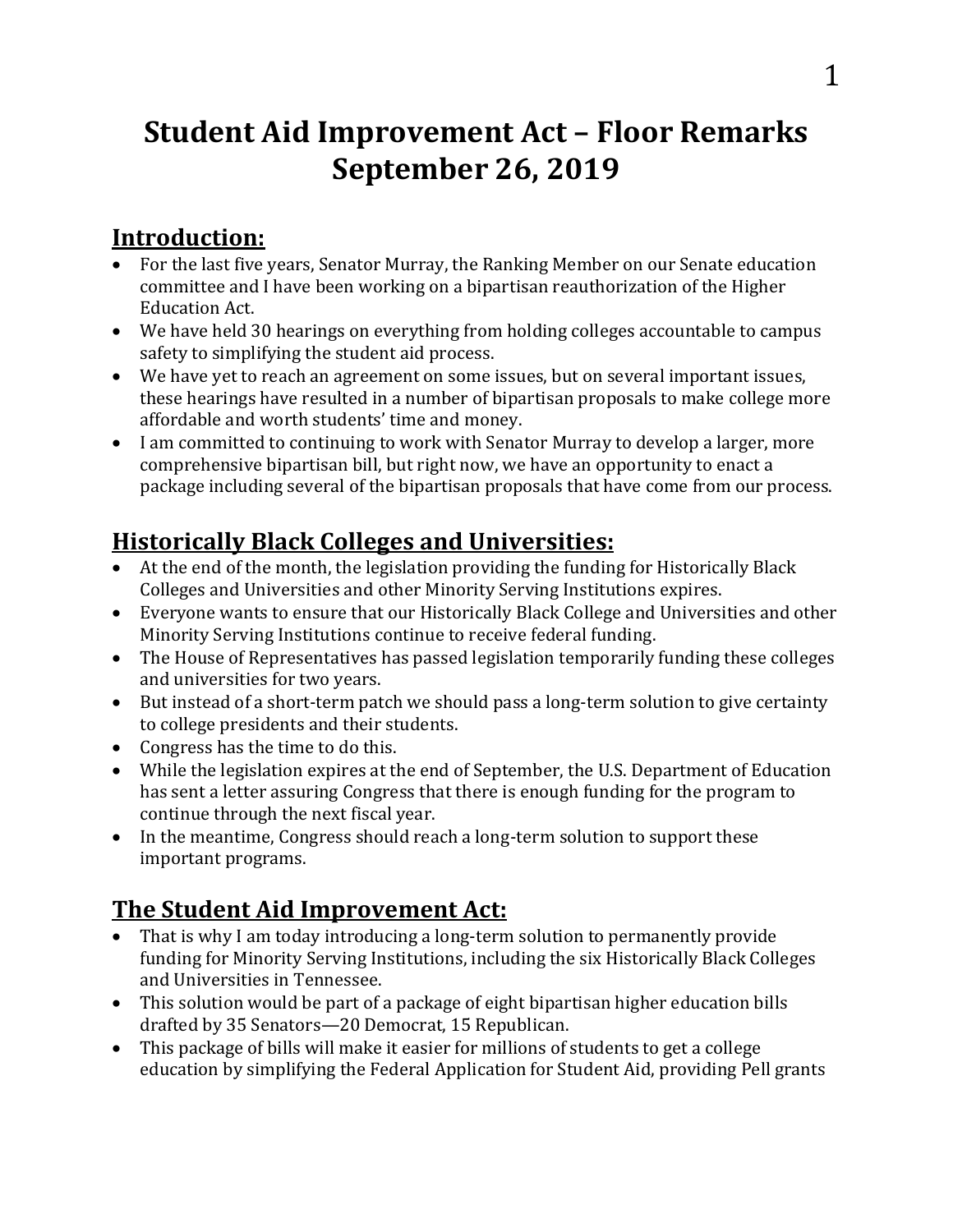# **Student Aid Improvement Act – Floor Remarks September 26, 2019**

#### **Introduction:**

- For the last five years, Senator Murray, the Ranking Member on our Senate education committee and I have been working on a bipartisan reauthorization of the Higher Education Act.
- We have held 30 hearings on everything from holding colleges accountable to campus safety to simplifying the student aid process.
- We have yet to reach an agreement on some issues, but on several important issues, these hearings have resulted in a number of bipartisan proposals to make college more affordable and worth students' time and money.
- I am committed to continuing to work with Senator Murray to develop a larger, more comprehensive bipartisan bill, but right now, we have an opportunity to enact a package including several of the bipartisan proposals that have come from our process.

# **Historically Black Colleges and Universities:**

- At the end of the month, the legislation providing the funding for Historically Black Colleges and Universities and other Minority Serving Institutions expires.
- Everyone wants to ensure that our Historically Black College and Universities and other Minority Serving Institutions continue to receive federal funding.
- The House of Representatives has passed legislation temporarily funding these colleges and universities for two years.
- But instead of a short-term patch we should pass a long-term solution to give certainty to college presidents and their students.
- Congress has the time to do this.
- While the legislation expires at the end of September, the U.S. Department of Education has sent a letter assuring Congress that there is enough funding for the program to continue through the next fiscal year.
- In the meantime, Congress should reach a long-term solution to support these important programs.

## **The Student Aid Improvement Act:**

- That is why I am today introducing a long-term solution to permanently provide funding for Minority Serving Institutions, including the six Historically Black Colleges and Universities in Tennessee.
- This solution would be part of a package of eight bipartisan higher education bills drafted by 35 Senators—20 Democrat, 15 Republican.
- This package of bills will make it easier for millions of students to get a college education by simplifying the Federal Application for Student Aid, providing Pell grants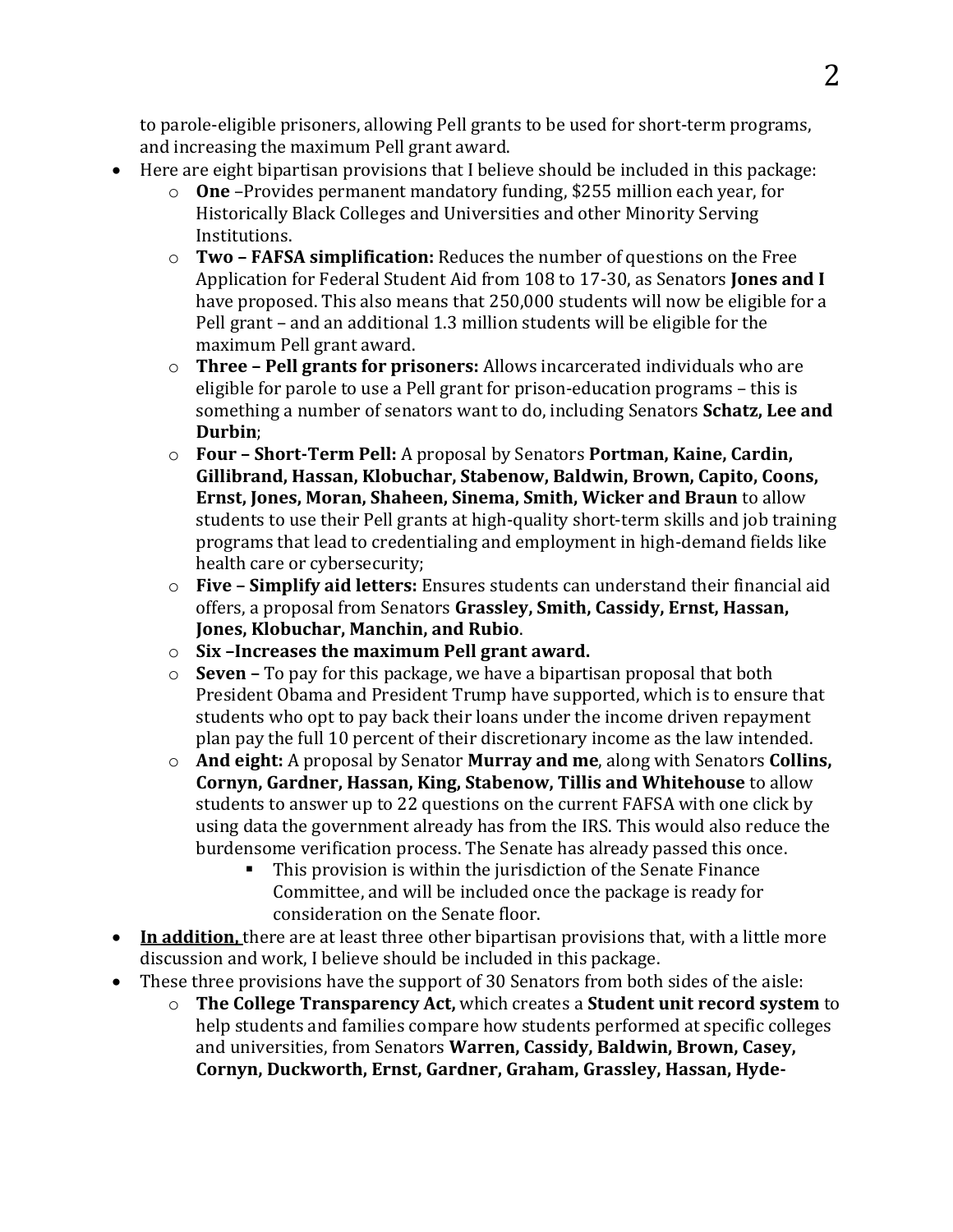to parole-eligible prisoners, allowing Pell grants to be used for short-term programs, and increasing the maximum Pell grant award.

- Here are eight bipartisan provisions that I believe should be included in this package:
	- o **One** –Provides permanent mandatory funding, \$255 million each year, for Historically Black Colleges and Universities and other Minority Serving Institutions.
	- o **Two – FAFSA simplification:** Reduces the number of questions on the Free Application for Federal Student Aid from 108 to 17-30, as Senators **Jones and I** have proposed. This also means that 250,000 students will now be eligible for a Pell grant – and an additional 1.3 million students will be eligible for the maximum Pell grant award.
	- o **Three – Pell grants for prisoners:** Allows incarcerated individuals who are eligible for parole to use a Pell grant for prison-education programs – this is something a number of senators want to do, including Senators **Schatz, Lee and Durbin**;
	- o **Four – Short-Term Pell:** A proposal by Senators **Portman, Kaine, Cardin, Gillibrand, Hassan, Klobuchar, Stabenow, Baldwin, Brown, Capito, Coons, Ernst, Jones, Moran, Shaheen, Sinema, Smith, Wicker and Braun** to allow students to use their Pell grants at high-quality short-term skills and job training programs that lead to credentialing and employment in high-demand fields like health care or cybersecurity;
	- o **Five – Simplify aid letters:** Ensures students can understand their financial aid offers, a proposal from Senators **Grassley, Smith, Cassidy, Ernst, Hassan, Jones, Klobuchar, Manchin, and Rubio**.
	- o **Six –Increases the maximum Pell grant award.**
	- o **Seven –** To pay for this package, we have a bipartisan proposal that both President Obama and President Trump have supported, which is to ensure that students who opt to pay back their loans under the income driven repayment plan pay the full 10 percent of their discretionary income as the law intended.
	- o **And eight:** A proposal by Senator **Murray and me**, along with Senators **Collins, Cornyn, Gardner, Hassan, King, Stabenow, Tillis and Whitehouse** to allow students to answer up to 22 questions on the current FAFSA with one click by using data the government already has from the IRS. This would also reduce the burdensome verification process. The Senate has already passed this once.
		- This provision is within the jurisdiction of the Senate Finance Committee, and will be included once the package is ready for consideration on the Senate floor.
- **In addition,** there are at least three other bipartisan provisions that, with a little more discussion and work, I believe should be included in this package.
- These three provisions have the support of 30 Senators from both sides of the aisle:
	- o **The College Transparency Act,** which creates a **Student unit record system** to help students and families compare how students performed at specific colleges and universities, from Senators **Warren, Cassidy, Baldwin, Brown, Casey, Cornyn, Duckworth, Ernst, Gardner, Graham, Grassley, Hassan, Hyde-**